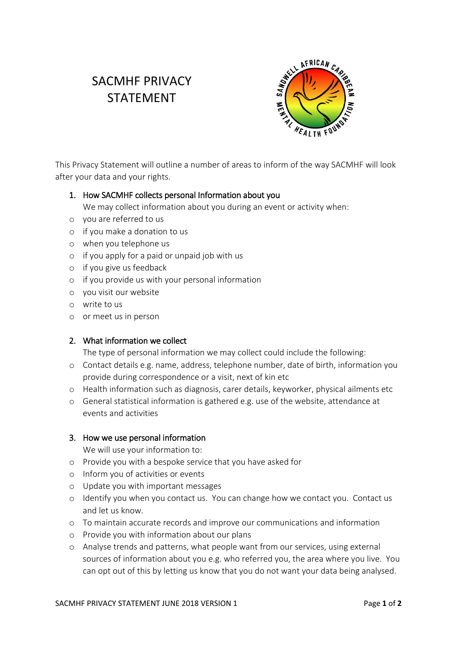# SACMHF PRIVACY STATEMENT



This Privacy Statement will outline a number of areas to inform of the way SACMHF will look after your data and your rights.

## 1. How SACMHF collects personal Information about you

We may collect information about you during an event or activity when:

- o you are referred to us
- o if you make a donation to us
- o when you telephone us
- o if you apply for a paid or unpaid job with us
- o if you give us feedback
- o if you provide us with your personal information
- o you visit our website
- o write to us
- o or meet us in person

### 2. What information we collect

The type of personal information we may collect could include the following:

- o Contact details e.g. name, address, telephone number, date of birth, information you provide during correspondence or a visit, next of kin etc
- o Health information such as diagnosis, carer details, keyworker, physical ailments etc
- o General statistical information is gathered e.g. use of the website, attendance at events and activities

### 3. How we use personal information

We will use your information to:

- o Provide you with a bespoke service that you have asked for
- o Inform you of activities or events
- o Update you with important messages
- o Identify you when you contact us. You can change how we contact you. Contact us and let us know.
- o To maintain accurate records and improve our communications and information
- o Provide you with information about our plans
- o Analyse trends and patterns, what people want from our services, using external sources of information about you e.g. who referred you, the area where you live. You can opt out of this by letting us know that you do not want your data being analysed.